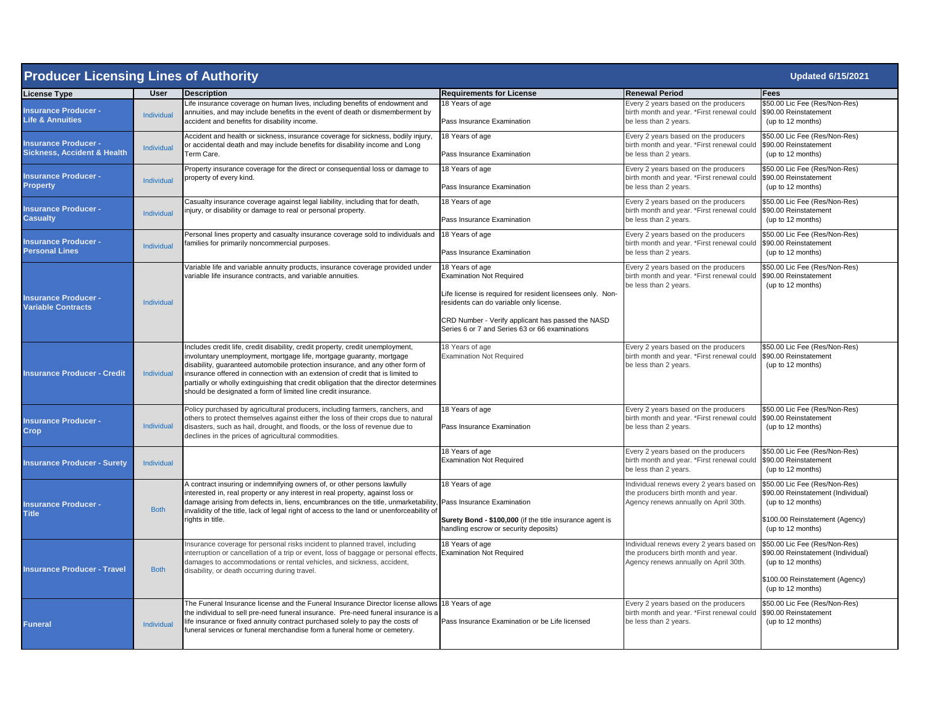| <b>Producer Licensing Lines of Authority</b><br><b>Updated 6/15/2021</b> |                   |                                                                                                                                                                                                                                                                                                                                                                                                                                                                                     |                                                                                                                                                                                                                  |                                                                                                                                   |                                                                                                                                                  |  |
|--------------------------------------------------------------------------|-------------------|-------------------------------------------------------------------------------------------------------------------------------------------------------------------------------------------------------------------------------------------------------------------------------------------------------------------------------------------------------------------------------------------------------------------------------------------------------------------------------------|------------------------------------------------------------------------------------------------------------------------------------------------------------------------------------------------------------------|-----------------------------------------------------------------------------------------------------------------------------------|--------------------------------------------------------------------------------------------------------------------------------------------------|--|
| <b>License Type</b>                                                      | User              | <b>Description</b>                                                                                                                                                                                                                                                                                                                                                                                                                                                                  | <b>Requirements for License</b>                                                                                                                                                                                  | <b>Renewal Period</b>                                                                                                             | Fees                                                                                                                                             |  |
| <b>Insurance Producer -</b><br><b>Life &amp; Annuities</b>               | Individual        | Life insurance coverage on human lives, including benefits of endowment and<br>annuities, and may include benefits in the event of death or dismemberment by<br>accident and benefits for disability income.                                                                                                                                                                                                                                                                        | 18 Years of age<br>Pass Insurance Examination                                                                                                                                                                    | Every 2 years based on the producers<br>birth month and year. *First renewal could<br>be less than 2 years.                       | \$50.00 Lic Fee (Res/Non-Res)<br>\$90.00 Reinstatement<br>(up to 12 months)                                                                      |  |
| <b>Insurance Producer -</b><br><b>Sickness, Accident &amp; Health</b>    | <b>Individual</b> | Accident and health or sickness, insurance coverage for sickness, bodily injury,<br>or accidental death and may include benefits for disability income and Long<br>Term Care.                                                                                                                                                                                                                                                                                                       | 18 Years of age<br>Pass Insurance Examination                                                                                                                                                                    | Every 2 years based on the producers<br>birth month and year. *First renewal could<br>be less than 2 years.                       | \$50.00 Lic Fee (Res/Non-Res)<br>\$90.00 Reinstatement<br>(up to 12 months)                                                                      |  |
| <b>Insurance Producer -</b><br><b>Property</b>                           | <b>Individual</b> | Property insurance coverage for the direct or consequential loss or damage to<br>property of every kind.                                                                                                                                                                                                                                                                                                                                                                            | 18 Years of age<br>Pass Insurance Examination                                                                                                                                                                    | Every 2 years based on the producers<br>birth month and year. *First renewal could<br>be less than 2 years.                       | \$50.00 Lic Fee (Res/Non-Res)<br>\$90.00 Reinstatement<br>(up to 12 months)                                                                      |  |
| <b>Insurance Producer -</b><br><b>Casualty</b>                           | Individual        | Casualty insurance coverage against legal liability, including that for death,<br>injury, or disability or damage to real or personal property.                                                                                                                                                                                                                                                                                                                                     | 18 Years of age<br>Pass Insurance Examination                                                                                                                                                                    | Every 2 years based on the producers<br>birth month and year. *First renewal could<br>be less than 2 years.                       | \$50.00 Lic Fee (Res/Non-Res)<br>\$90.00 Reinstatement<br>(up to 12 months)                                                                      |  |
| <b>Insurance Producer -</b><br><b>Personal Lines</b>                     | Individual        | Personal lines property and casualty insurance coverage sold to individuals and<br>families for primarily noncommercial purposes.                                                                                                                                                                                                                                                                                                                                                   | 18 Years of age<br>Pass Insurance Examination                                                                                                                                                                    | Every 2 years based on the producers<br>birth month and year. *First renewal could<br>be less than 2 years.                       | \$50.00 Lic Fee (Res/Non-Res)<br>\$90.00 Reinstatement<br>(up to 12 months)                                                                      |  |
| <b>Insurance Producer -</b><br><b>Variable Contracts</b>                 | Individual        | Variable life and variable annuity products, insurance coverage provided under<br>variable life insurance contracts, and variable annuities.                                                                                                                                                                                                                                                                                                                                        | 18 Years of age<br><b>Examination Not Required</b><br>Life license is required for resident licensees only. Non-<br>residents can do variable only license.<br>CRD Number - Verify applicant has passed the NASD | Every 2 years based on the producers<br>birth month and year. *First renewal could<br>be less than 2 years.                       | \$50.00 Lic Fee (Res/Non-Res)<br>\$90.00 Reinstatement<br>(up to 12 months)                                                                      |  |
| <b>Insurance Producer - Credit</b>                                       | Individual        | Includes credit life, credit disability, credit property, credit unemployment,<br>involuntary unemployment, mortgage life, mortgage guaranty, mortgage<br>disability, guaranteed automobile protection insurance, and any other form of<br>insurance offered in connection with an extension of credit that is limited to<br>partially or wholly extinguishing that credit obligation that the director determines<br>should be designated a form of limited line credit insurance. | Series 6 or 7 and Series 63 or 66 examinations<br>18 Years of age<br><b>Examination Not Required</b>                                                                                                             | Every 2 years based on the producers<br>birth month and year. *First renewal could \$90.00 Reinstatement<br>be less than 2 years. | \$50.00 Lic Fee (Res/Non-Res)<br>(up to 12 months)                                                                                               |  |
| <b>Insurance Producer -</b><br><b>Crop</b>                               | Individual        | Policy purchased by agricultural producers, including farmers, ranchers, and<br>others to protect themselves against either the loss of their crops due to natural<br>disasters, such as hail, drought, and floods, or the loss of revenue due to<br>declines in the prices of agricultural commodities.                                                                                                                                                                            | 18 Years of age<br>Pass Insurance Examination                                                                                                                                                                    | Every 2 years based on the producers<br>birth month and year. *First renewal could<br>be less than 2 years.                       | \$50.00 Lic Fee (Res/Non-Res)<br>\$90.00 Reinstatement<br>(up to 12 months)                                                                      |  |
| <b>Insurance Producer - Surety</b>                                       | Individual        |                                                                                                                                                                                                                                                                                                                                                                                                                                                                                     | 18 Years of age<br><b>Examination Not Required</b>                                                                                                                                                               | Every 2 years based on the producers<br>birth month and year. *First renewal could<br>be less than 2 years.                       | \$50.00 Lic Fee (Res/Non-Res)<br>\$90.00 Reinstatement<br>(up to 12 months)                                                                      |  |
| <b>Insurance Producer -</b><br><b>Title</b>                              | <b>Both</b>       | A contract insuring or indemnifying owners of, or other persons lawfully<br>interested in, real property or any interest in real property, against loss or<br>damage arising from defects in, liens, encumbrances on the title, unmarketability, Pass Insurance Examination<br>invalidity of the title, lack of legal right of access to the land or unenforceability of<br>rights in title.                                                                                        | 18 Years of age<br>Surety Bond - \$100,000 (if the title insurance agent is<br>handling escrow or security deposits)                                                                                             | Individual renews every 2 years based or<br>the producers birth month and year.<br>Agency renews annually on April 30th.          | \$50.00 Lic Fee (Res/Non-Res)<br>\$90.00 Reinstatement (Individual)<br>(up to 12 months)<br>\$100.00 Reinstatement (Agency)<br>(up to 12 months) |  |
| <b>Insurance Producer - Travel</b>                                       | <b>Both</b>       | Insurance coverage for personal risks incident to planned travel, including<br>interruption or cancellation of a trip or event, loss of baggage or personal effects, Examination Not Required<br>damages to accommodations or rental vehicles, and sickness, accident,<br>disability, or death occurring during travel.                                                                                                                                                             | 18 Years of age                                                                                                                                                                                                  | Individual renews every 2 years based or<br>the producers birth month and year.<br>Agency renews annually on April 30th.          | \$50.00 Lic Fee (Res/Non-Res)<br>\$90.00 Reinstatement (Individual)<br>(up to 12 months)<br>\$100.00 Reinstatement (Agency)<br>(up to 12 months) |  |
| <b>Funeral</b>                                                           | Individual        | The Funeral Insurance license and the Funeral Insurance Director license allows<br>the individual to sell pre-need funeral insurance. Pre-need funeral insurance is a<br>life insurance or fixed annuity contract purchased solely to pay the costs of<br>funeral services or funeral merchandise form a funeral home or cemetery.                                                                                                                                                  | 18 Years of age<br>Pass Insurance Examination or be Life licensed                                                                                                                                                | Every 2 years based on the producers<br>birth month and year. *First renewal could<br>be less than 2 years.                       | \$50.00 Lic Fee (Res/Non-Res)<br>\$90.00 Reinstatement<br>(up to 12 months)                                                                      |  |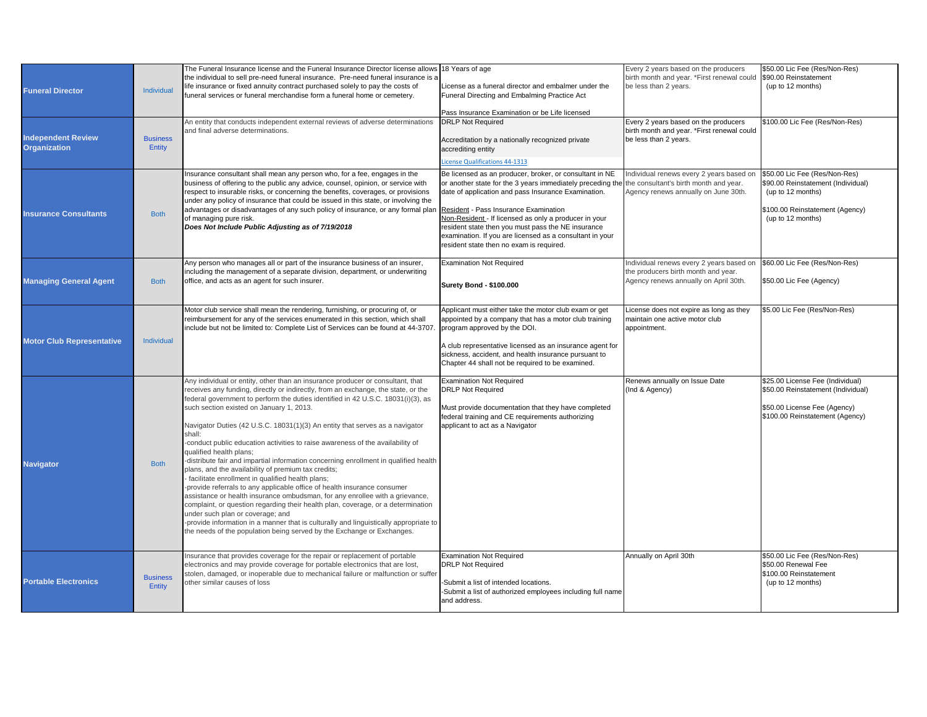| <b>Funeral Director</b>                          | Individual                | The Funeral Insurance license and the Funeral Insurance Director license allows 18 Years of age<br>the individual to sell pre-need funeral insurance. Pre-need funeral insurance is a<br>life insurance or fixed annuity contract purchased solely to pay the costs of<br>funeral services or funeral merchandise form a funeral home or cemetery.                                                                                                                                                                                                                                                                                                                                                                                                                                                                                                                                                                                                                                                                                                                                                                                                                 | License as a funeral director and embalmer under the<br>Funeral Directing and Embalming Practice Act<br>Pass Insurance Examination or be Life licensed                                                                                                                                                                                                                                                                                     | Every 2 years based on the producers<br>birth month and year. *First renewal could \$90.00 Reinstatement<br>be less than 2 years. | \$50.00 Lic Fee (Res/Non-Res)<br>(up to 12 months)                                                                                               |
|--------------------------------------------------|---------------------------|--------------------------------------------------------------------------------------------------------------------------------------------------------------------------------------------------------------------------------------------------------------------------------------------------------------------------------------------------------------------------------------------------------------------------------------------------------------------------------------------------------------------------------------------------------------------------------------------------------------------------------------------------------------------------------------------------------------------------------------------------------------------------------------------------------------------------------------------------------------------------------------------------------------------------------------------------------------------------------------------------------------------------------------------------------------------------------------------------------------------------------------------------------------------|--------------------------------------------------------------------------------------------------------------------------------------------------------------------------------------------------------------------------------------------------------------------------------------------------------------------------------------------------------------------------------------------------------------------------------------------|-----------------------------------------------------------------------------------------------------------------------------------|--------------------------------------------------------------------------------------------------------------------------------------------------|
| <b>Independent Review</b><br><b>Organization</b> | <b>Business</b><br>Entity | An entity that conducts independent external reviews of adverse determinations<br>and final adverse determinations.                                                                                                                                                                                                                                                                                                                                                                                                                                                                                                                                                                                                                                                                                                                                                                                                                                                                                                                                                                                                                                                | <b>DRLP Not Required</b><br>Accreditation by a nationally recognized private<br>accrediting entity<br>icense Qualifications 44-1313                                                                                                                                                                                                                                                                                                        | Every 2 years based on the producers<br>birth month and year. *First renewal could<br>be less than 2 years.                       | \$100.00 Lic Fee (Res/Non-Res)                                                                                                                   |
| <b>Insurance Consultants</b>                     | <b>Both</b>               | Insurance consultant shall mean any person who, for a fee, engages in the<br>business of offering to the public any advice, counsel, opinion, or service with<br>respect to insurable risks, or concerning the benefits, coverages, or provisions<br>under any policy of insurance that could be issued in this state, or involving the<br>advantages or disadvantages of any such policy of insurance, or any formal plan Resident - Pass Insurance Examination<br>of managing pure risk.<br>Does Not Include Public Adjusting as of 7/19/2018                                                                                                                                                                                                                                                                                                                                                                                                                                                                                                                                                                                                                    | Be licensed as an producer, broker, or consultant in NE<br>or another state for the 3 years immediately preceding the the consultant's birth month and year.<br>date of application and pass Insurance Examination.<br>Non-Resident - If licensed as only a producer in your<br>resident state then you must pass the NE insurance<br>examination. If you are licensed as a consultant in your<br>resident state then no exam is required. | Individual renews every 2 years based on<br>Agency renews annually on June 30th.                                                  | \$50.00 Lic Fee (Res/Non-Res)<br>\$90.00 Reinstatement (Individual)<br>(up to 12 months)<br>\$100.00 Reinstatement (Agency)<br>(up to 12 months) |
| <b>Managing General Agent</b>                    | <b>Both</b>               | Any person who manages all or part of the insurance business of an insurer,<br>including the management of a separate division, department, or underwriting<br>office, and acts as an agent for such insurer.                                                                                                                                                                                                                                                                                                                                                                                                                                                                                                                                                                                                                                                                                                                                                                                                                                                                                                                                                      | <b>Examination Not Required</b><br><b>Surety Bond - \$100.000</b>                                                                                                                                                                                                                                                                                                                                                                          | Individual renews every 2 years based on<br>the producers birth month and year.<br>Agency renews annually on April 30th.          | \$60.00 Lic Fee (Res/Non-Res)<br>\$50.00 Lic Fee (Agency)                                                                                        |
| <b>Motor Club Representative</b>                 | Individual                | Motor club service shall mean the rendering, furnishing, or procuring of, or<br>reimbursement for any of the services enumerated in this section, which shall<br>include but not be limited to: Complete List of Services can be found at 44-3707.                                                                                                                                                                                                                                                                                                                                                                                                                                                                                                                                                                                                                                                                                                                                                                                                                                                                                                                 | Applicant must either take the motor club exam or get<br>appointed by a company that has a motor club training<br>program approved by the DOI.<br>A club representative licensed as an insurance agent for<br>sickness, accident, and health insurance pursuant to<br>Chapter 44 shall not be required to be examined.                                                                                                                     | License does not expire as long as they<br>maintain one active motor club<br>appointment.                                         | \$5.00 Lic Fee (Res/Non-Res)                                                                                                                     |
| <b>Navigator</b>                                 | <b>Both</b>               | Any individual or entity, other than an insurance producer or consultant, that<br>receives any funding, directly or indirectly, from an exchange, the state, or the<br>federal government to perform the duties identified in 42 U.S.C. 18031(i)(3), as<br>such section existed on January 1, 2013.<br>Navigator Duties (42 U.S.C. 18031(1)(3) An entity that serves as a navigator<br>shall:<br>conduct public education activities to raise awareness of the availability of<br>qualified health plans;<br>-distribute fair and impartial information concerning enrollment in qualified health<br>plans, and the availability of premium tax credits;<br>facilitate enrollment in qualified health plans;<br>provide referrals to any applicable office of health insurance consumer<br>assistance or health insurance ombudsman, for any enrollee with a grievance,<br>complaint, or question regarding their health plan, coverage, or a determination<br>under such plan or coverage; and<br>-provide information in a manner that is culturally and linguistically appropriate to<br>the needs of the population being served by the Exchange or Exchanges. | <b>Examination Not Required</b><br><b>DRLP Not Required</b><br>Must provide documentation that they have completed<br>federal training and CE requirements authorizing<br>applicant to act as a Navigator                                                                                                                                                                                                                                  | Renews annually on Issue Date<br>(Ind & Agency)                                                                                   | \$25.00 License Fee (Individual)<br>\$50.00 Reinstatement (Individual)<br>\$50.00 License Fee (Agency)<br>\$100.00 Reinstatement (Agency)        |
| <b>Portable Electronics</b>                      | <b>Business</b><br>Entity | Insurance that provides coverage for the repair or replacement of portable<br>electronics and may provide coverage for portable electronics that are lost,<br>stolen, damaged, or inoperable due to mechanical failure or malfunction or suffer<br>other similar causes of loss                                                                                                                                                                                                                                                                                                                                                                                                                                                                                                                                                                                                                                                                                                                                                                                                                                                                                    | <b>Examination Not Required</b><br><b>DRLP Not Required</b><br>-Submit a list of intended locations.<br>-Submit a list of authorized employees including full name<br>and address.                                                                                                                                                                                                                                                         | Annually on April 30th                                                                                                            | \$50.00 Lic Fee (Res/Non-Res)<br>\$50.00 Renewal Fee<br>\$100.00 Reinstatement<br>(up to 12 months)                                              |